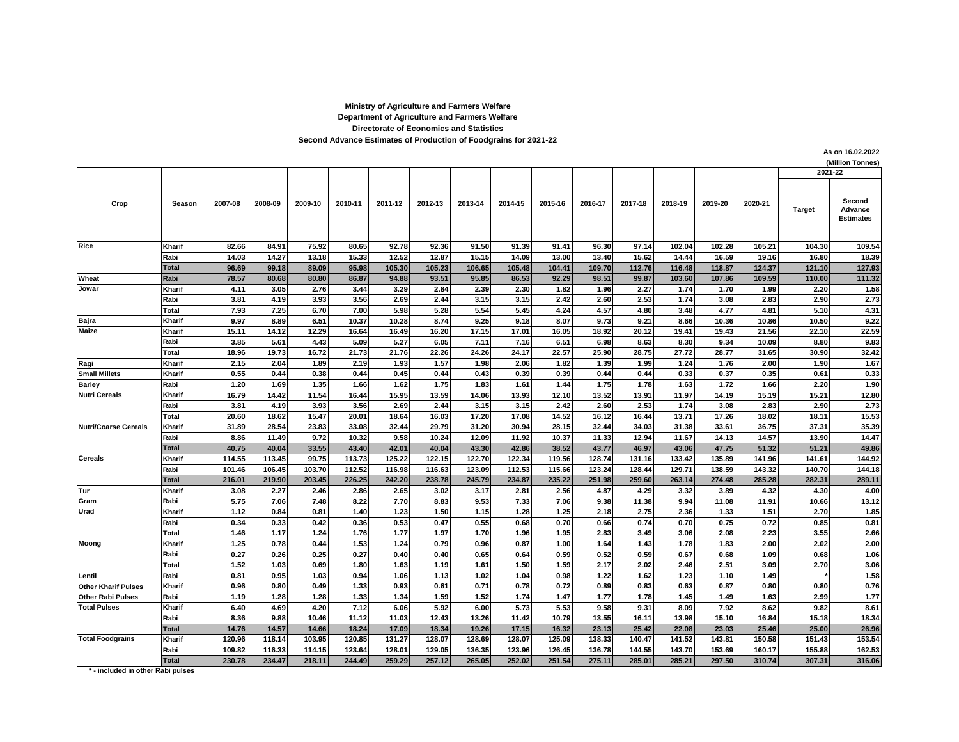## **Directorate of Economics and Statistics Department of Agriculture and Farmers Welfare Ministry of Agriculture and Farmers Welfare Second Advance Estimates of Production of Foodgrains for 2021-22**

**As on 16.02.2022**

**(Million Tonnes)** Kharif | 82.66| 84.91| 75.92| 80.65| 92.78| 92.36| 91.50| 91.39| 91.41| 96.30| 97.14| 102.04| 102.28| 105.21| 104.30| 109.54 **Rabi 14.03 14.27 13.18 15.33 12.52 12.87 15.15 14.09 13.00 13.40 15.62 14.44 16.59 19.16 16.80 18.39** Total | 96.69| 99.18| 89.09| 95.98| 105.30| 105.23| 106.65| 105.48| 104.41| 109.70| 112.76| 116.48| 118.87| 124.37| 121.10| 127.93 Wheat Rabi | 78.57 80.68 80.80 86.87 94.88 93.51 95.85 86.53 92.29 98.51 99.87 103.60 107.86 109.59 110.00 111.32 **Kharif 4.11 3.05 2.76 3.44 3.29 2.84 2.39 2.30 1.82 1.96 2.27 1.74 1.70 1.99 2.20 1.58 Rabi 3.81 4.19 3.93 3.56 2.69 2.44 3.15 3.15 2.42 2.60 2.53 1.74 3.08 2.83 2.90 2.73 Total 7.93 7.25 6.70 7.00 5.98 5.28 5.54 5.45 4.24 4.57 4.80 3.48 4.77 4.81 5.10 4.31 Bajra Kharif 9.97 8.89 6.51 10.37 10.28 8.74 9.25 9.18 8.07 9.73 9.21 8.66 10.36 10.86 10.50 9.22 Kharif 15.11 14.12 12.29 16.64 16.49 16.20 17.15 17.01 16.05 18.92 20.12 19.41 19.43 21.56 22.10 22.59 Rabi 3.85 5.61 4.43 5.09 5.27 6.05 7.11 7.16 6.51 6.98 8.63 8.30 9.34 10.09 8.80 9.83 Total 18.96 19.73 16.72 21.73 21.76 22.26 24.26 24.17 22.57 25.90 28.75 27.72 28.77 31.65 30.90 32.42 Ragi Kharif 2.15 2.04 1.89 2.19 1.93 1.57 1.98 2.06 1.82 1.39 1.99 1.24 1.76 2.00 1.90 1.67** Small Millets |Kharif | 0.55| 0.44| 0.38| 0.44| 0.45| 0.44| 0.43| 0.39| 0.43| 0.44| 0.33| 0.37| 0.35| 0.61| 0.33 **Barley Rabi 1.20 1.69 1.35 1.66 1.62 1.75 1.83 1.61 1.44 1.75 1.78 1.63 1.72 1.66 2.20 1.90 Kharif 16.79 14.42 11.54 16.44 15.95 13.59 14.06 13.93 12.10 13.52 13.91 11.97 14.19 15.19 15.21 12.80 Rabi 3.81 4.19 3.93 3.56 2.69 2.44 3.15 3.15 2.42 2.60 2.53 1.74 3.08 2.83 2.90 2.73 Total 20.60 18.62 15.47 20.01 18.64 16.03 17.20 17.08 14.52 16.12 16.44 13.71 17.26 18.02 18.11 15.53 Kharif 31.89 28.54 23.83 33.08 32.44 29.79 31.20 30.94 28.15 32.44 34.03 31.38 33.61 36.75 37.31 35.39 Rabi 8.86 11.49 9.72 10.32 9.58 10.24 12.09 11.92 10.37 11.33 12.94 11.67 14.13 14.57 13.90 14.47 Total 40.75 40.04 33.55 43.40 42.01 40.04 43.30 42.86 38.52 43.77 46.97 43.06 47.75 51.32 51.21 49.86** Kharif | 114.55 113.45| 99.75 113.73 125.22 122.15 122.70 122.34 119.56 128.74 131.16 133.42 135.89 141.96 141.61 144.92 Rabi | 101.46| 106.45| 103.70| 112.52| 116.98| 116.63| 123.09| 112.53| 115.66| 123.24| 128.44| 129.71| 138.59| 143.32| 140.70| 144.18 Total | 216.01| 219.90| 203.45| 226.25| 242.20| 238.78| 245.79| 234.87| 235.22| 251.98| 259.60| 263.14| 274.48| 285.28| 282.31| 289.11 **Tur Kharif 3.08 2.27 2.46 2.86 2.65 3.02 3.17 2.81 2.56 4.87 4.29 3.32 3.89 4.32 4.30 4.00 Gram Rabi 5.75 7.06 7.48 8.22 7.70 8.83 9.53 7.33 7.06 9.38 11.38 9.94 11.08 11.91 10.66 13.12 Kharif 1.12 0.84 0.81 1.40 1.23 1.50 1.15 1.28 1.25 2.18 2.75 2.36 1.33 1.51 2.70 1.85 Rabi 0.34 0.33 0.42 0.36 0.53 0.47 0.55 0.68 0.70 0.66 0.74 0.70 0.75 0.72 0.85 0.81 Total 1.46 1.17 1.24 1.76 1.77 1.97 1.70 1.96 1.95 2.83 3.49 3.06 2.08 2.23 3.55 2.66 Kharif 1.25 0.78 0.44 1.53 1.24 0.79 0.96 0.87 1.00 1.64 1.43 1.78 1.83 2.00 2.02 2.00 Rabi 0.27 0.26 0.25 0.27 0.40 0.40 0.65 0.64 0.59 0.52 0.59 0.67 0.68 1.09 0.68 1.06 Total 1.52 1.03 0.69 1.80 1.63 1.19 1.61 1.50 1.59 2.17 2.02 2.46 2.51 3.09 2.70 3.06 Lentil Rabi 0.81 0.95 1.03 0.94 1.06 1.13 1.02 1.04 0.98 1.22 1.62 1.23 1.10 1.49 \* 1.58** Other Kharif Pulses |Kharif | 0.96 0.80 0.49 1.33 0.93 0.61 0.71 0.78 0.72 0.89 0.83 0.83 0.87 0.80 0.80 0.76 Other Rabi Pulses |Rabi | 1.19 1.28 1.28 1.32 1.33 1.34 1.59 1.52 1.74 1.47 1.77 1.78 1.45 1.49 1.63 2.99 1.77 **Kharif 6.40 4.69 4.20 7.12 6.06 5.92 6.00 5.73 5.53 9.58 9.31 8.09 7.92 8.62 9.82 8.61 Rabi 8.36 9.88 10.46 11.12 11.03 12.43 13.26 11.42 10.79 13.55 16.11 13.98 15.10 16.84 15.18 18.34 Total 14.76 14.57 14.66 18.24 17.09 18.34 19.26 17.15 16.32 23.13 25.42 22.08 23.03 25.46 25.00 26.96** Kharif | 120.96| 118.14| 103.95| 120.85| 131.27| 128.07| 128.69| 128.07| 125.09| 138.33| 140.47| 141.52| 143.81| 150.58| 151.43| 153.54 Rabi | 109.82| 116.33| 114.15| 123.64| 128.01| 129.05| 136.35| 123.96| 126.45| 136.78| 144.55| 143.70| 153.69| 160.17| 155.88| 162.53 Total | 230.78| 234.47| 218.11| 244.49| 259.29| 257.12| 265.05| 252.02| 251.54| 275.11| 285.01| 285.21| 297.50| 310.74| 307.31| 316.06 **2021-22 Target Second Advance Estimates Maize Nutri Cereals Nutri/Coarse Cereals Cereals Urad 2011-12 2013-14 2014-15 2015-16 Jowar 2020-21 2018-19 Moong Total Pulses Total Foodgrains 2009-10 2010-11 2012-13 2019-20 Rice Crop Season 2007-08 2008-09 2016-17 2017-18**

**\* - included in other Rabi pulses**